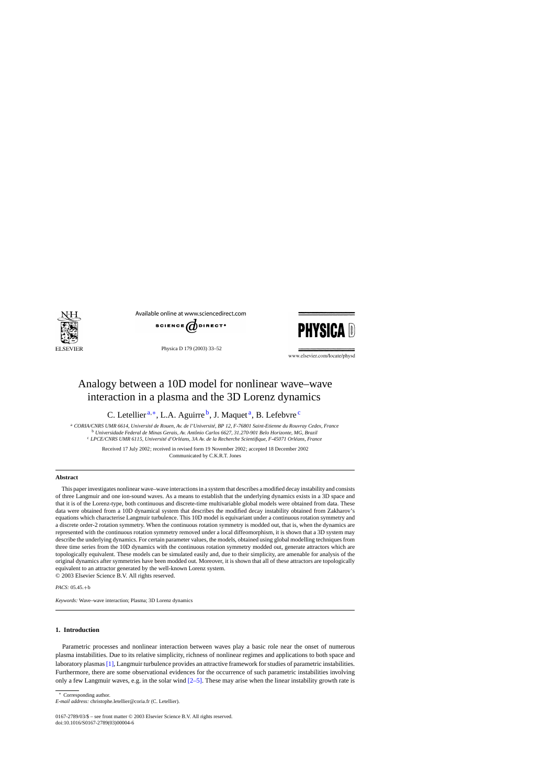

Available online at www.sciencedirect.com



Physica D 179 (2003) 33–52



www.elsevier.com/locate/physd

# Analogy between a 10D model for nonlinear wave–wave interaction in a plasma and the 3D Lorenz dynamics

C. Letellier<sup>a,\*</sup>, L.A. Aguirre<sup>b</sup>, J. Maquet<sup>a</sup>, B. Lefebvre<sup>c</sup>

<sup>a</sup> *CORIA/CNRS UMR 6614, Université de Rouen, Av. de l'Université, BP 12, F-76801 Saint-Etienne du Rouvray Cedex, France* <sup>b</sup> Universidade Federal de Minas Gerais, Av. Antônio Carlos 6627, 31.270-901 Belo Horizonte, MG, Brazil <sup>c</sup> *LPCE/CNRS UMR 6115, Université d'Orléans, 3A Av. de la Recherche Scientifique, F-45071 Orléans, France*

> Received 17 July 2002; received in revised form 19 November 2002; accepted 18 December 2002 Communicated by C.K.R.T. Jones

#### **Abstract**

This paper investigates nonlinear wave–wave interactions in a system that describes a modified decay instability and consists of three Langmuir and one ion-sound waves. As a means to establish that the underlying dynamics exists in a 3D space and that it is of the Lorenz-type, both continuous and discrete-time multivariable global models were obtained from data. These data were obtained from a 10D dynamical system that describes the modified decay instability obtained from Zakharov's equations which characterise Langmuir turbulence. This 10D model is equivariant under a continuous rotation symmetry and a discrete order-2 rotation symmetry. When the continuous rotation symmetry is modded out, that is, when the dynamics are represented with the continuous rotation symmetry removed under a local diffeomorphism, it is shown that a 3D system may describe the underlying dynamics. For certain parameter values, the models, obtained using global modelling techniques from three time series from the 10D dynamics with the continuous rotation symmetry modded out, generate attractors which are topologically equivalent. These models can be simulated easily and, due to their simplicity, are amenable for analysis of the original dynamics after symmetries have been modded out. Moreover, it is shown that all of these attractors are topologically equivalent to an attractor generated by the well-known Lorenz system. © 2003 Elsevier Science B.V. All rights reserved.

*PACS:* 05.45.+b

*Keywords:* Wave–wave interaction; Plasma; 3D Lorenz dynamics

# **1. Introduction**

Parametric processes and nonlinear interaction between waves play a basic role near the onset of numerous plasma instabilities. Due to its relative simplicity, richness of nonlinear regimes and applications to both space and laboratory plasmas [\[1\], L](#page-18-0)angmuir turbulence provides an attractive framework for studies of parametric instabilities. Furthermore, there are some observational evidences for the occurrence of such parametric instabilities involving only a few Langmuir waves, e.g. in the solar wind  $[2-5]$ . These may arise when the linear instability growth rate is

Corresponding author.

*E-mail address:* christophe.letellier@coria.fr (C. Letellier).

<sup>0167-2789/03/\$ –</sup> see front matter © 2003 Elsevier Science B.V. All rights reserved. doi:10.1016/S0167-2789(03)00004-6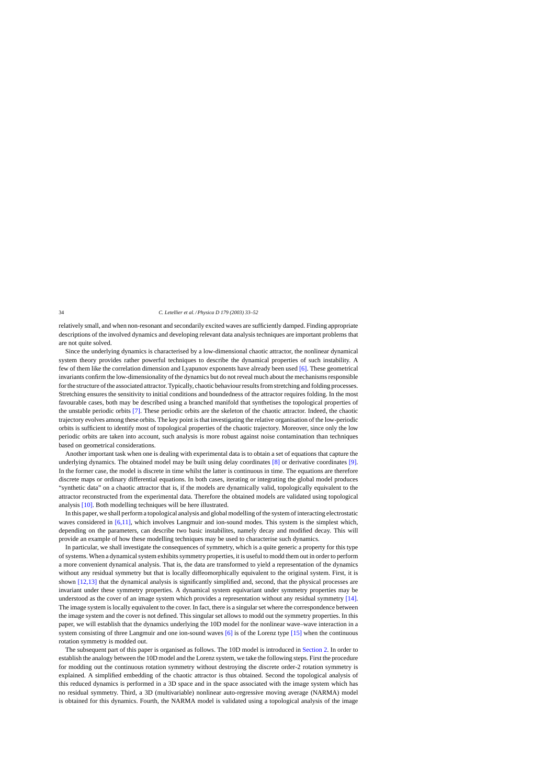relatively small, and when non-resonant and secondarily excited waves are sufficiently damped. Finding appropriate descriptions of the involved dynamics and developing relevant data analysis techniques are important problems that are not quite solved.

Since the underlying dynamics is characterised by a low-dimensional chaotic attractor, the nonlinear dynamical system theory provides rather powerful techniques to describe the dynamical properties of such instability. A few of them like the correlation dimension and Lyapunov exponents have already been used [\[6\]. T](#page-18-0)hese geometrical invariants confirm the low-dimensionality of the dynamics but do not reveal much about the mechanisms responsible for the structure of the associated attractor. Typically, chaotic behaviour results from stretching and folding processes. Stretching ensures the sensitivity to initial conditions and boundedness of the attractor requires folding. In the most favourable cases, both may be described using a branched manifold that synthetises the topological properties of the unstable periodic orbits [\[7\].](#page-18-0) These periodic orbits are the skeleton of the chaotic attractor. Indeed, the chaotic trajectory evolves among these orbits. The key point is that investigating the relative organisation of the low-periodic orbits is sufficient to identify most of topological properties of the chaotic trajectory. Moreover, since only the low periodic orbits are taken into account, such analysis is more robust against noise contamination than techniques based on geometrical considerations.

Another important task when one is dealing with experimental data is to obtain a set of equations that capture the underlying dynamics. The obtained model may be built using delay coordinates [\[8\]](#page-18-0) or derivative coordinates [\[9\].](#page-18-0) In the former case, the model is discrete in time whilst the latter is continuous in time. The equations are therefore discrete maps or ordinary differential equations. In both cases, iterating or integrating the global model produces "synthetic data" on a chaotic attractor that is, if the models are dynamically valid, topologically equivalent to the attractor reconstructed from the experimental data. Therefore the obtained models are validated using topological analysis [\[10\].](#page-18-0) Both modelling techniques will be here illustrated.

In this paper, we shall perform a topological analysis and global modelling of the system of interacting electrostatic waves considered in [\[6,11\],](#page-18-0) which involves Langmuir and ion-sound modes. This system is the simplest which, depending on the parameters, can describe two basic instabilites, namely decay and modified decay. This will provide an example of how these modelling techniques may be used to characterise such dynamics.

In particular, we shall investigate the consequences of symmetry, which is a quite generic a property for this type of systems. When a dynamical system exhibits symmetry properties, it is useful to modd them out in order to perform a more convenient dynamical analysis. That is, the data are transformed to yield a representation of the dynamics without any residual symmetry but that is locally diffeomorphically equivalent to the original system. First, it is shown [\[12,13\]](#page-19-0) that the dynamical analysis is significantly simplified and, second, that the physical processes are invariant under these symmetry properties. A dynamical system equivariant under symmetry properties may be understood as the cover of an image system which provides a representation without any residual symmetry [\[14\].](#page-19-0) The image system is locally equivalent to the cover. In fact, there is a singular set where the correspondence between the image system and the cover is not defined. This singular set allows to modd out the symmetry properties. In this paper, we will establish that the dynamics underlying the 10D model for the nonlinear wave–wave interaction in a system consisting of three Langmuir and one ion-sound waves [\[6\]](#page-18-0) is of the Lorenz type [\[15\]](#page-19-0) when the continuous rotation symmetry is modded out.

The subsequent part of this paper is organised as follows. The 10D model is introduced in [Section 2. I](#page-2-0)n order to establish the analogy between the 10D model and the Lorenz system, we take the following steps. First the procedure for modding out the continuous rotation symmetry without destroying the discrete order-2 rotation symmetry is explained. A simplified embedding of the chaotic attractor is thus obtained. Second the topological analysis of this reduced dynamics is performed in a 3D space and in the space associated with the image system which has no residual symmetry. Third, a 3D (multivariable) nonlinear auto-regressive moving average (NARMA) model is obtained for this dynamics. Fourth, the NARMA model is validated using a topological analysis of the image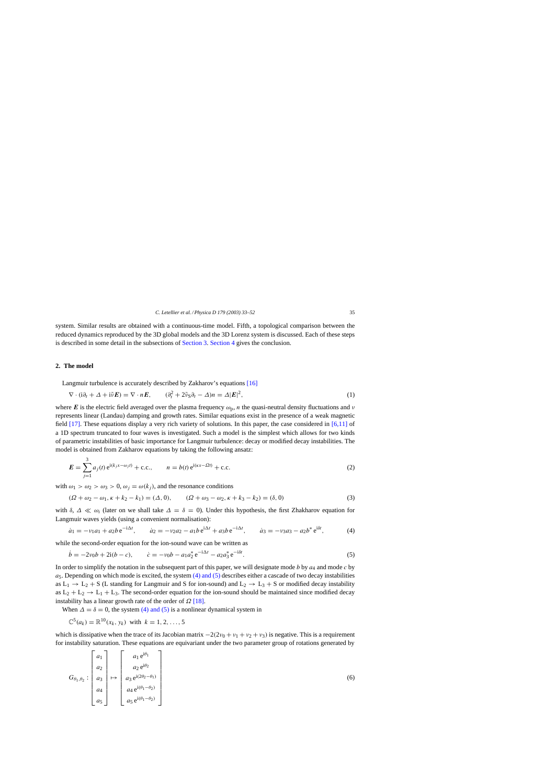<span id="page-2-0"></span>system. Similar results are obtained with a continuous-time model. Fifth, a topological comparison between the reduced dynamics reproduced by the 3D global models and the 3D Lorenz system is discussed. Each of these steps is described in some detail in the subsections of [Section 3.](#page-4-0) [Section 4](#page-17-0) gives the conclusion.

# **2. The model**

Langmuir turbulence is accurately described by Zakharov's equations [\[16\]](#page-19-0)

$$
\nabla \cdot (\mathbf{i}\partial_t + \Delta + \mathbf{i}\tilde{\nu}E) = \nabla \cdot nE, \qquad (\partial_t^2 + 2\tilde{\nu}_S \partial_t - \Delta)n = \Delta |E|^2,
$$
\n(1)

where E is the electric field averaged over the plasma frequency  $\omega_p$ , n the quasi-neutral density fluctuations and  $\nu$ represents linear (Landau) damping and growth rates. Similar equations exist in the presence of a weak magnetic field [\[17\]. T](#page-19-0)hese equations display a very rich variety of solutions. In this paper, the case considered in [\[6,11\]](#page-18-0) of a 1D spectrum truncated to four waves is investigated. Such a model is the simplest which allows for two kinds of parametric instabilities of basic importance for Langmuir turbulence: decay or modified decay instabilities. The model is obtained from Zakharov equations by taking the following ansatz:

$$
E = \sum_{j=1}^{3} a_j(t) e^{i(k_j x - \omega_j t)} + c.c., \qquad n = b(t) e^{i(\kappa x - \Omega t)} + c.c.
$$
 (2)

with  $\omega_1 > \omega_2 > \omega_3 > 0$ ,  $\omega_j = \omega(k_j)$ , and the resonance conditions

$$
(\Omega + \omega_2 - \omega_1, \kappa + k_2 - k_1) = (\Delta, 0), \qquad (\Omega + \omega_3 - \omega_2, \kappa + k_3 - k_2) = (\delta, 0)
$$
\n(3)

with  $\delta$ ,  $\Delta \ll \omega_i$  (later on we shall take  $\Delta = \delta = 0$ ). Under this hypothesis, the first Zhakharov equation for Langmuir waves yields (using a convenient normalisation):

$$
\dot{a}_1 = -v_1 a_1 + a_2 b e^{-i\Delta t}, \qquad \dot{a}_2 = -v_2 a_2 - a_1 b e^{i\Delta t} + a_3 b e^{-i\Delta t}, \qquad \dot{a}_3 = -v_3 a_3 - a_2 b^* e^{i\delta t}, \tag{4}
$$

while the second-order equation for the ion-sound wave can be written as

$$
\dot{b} = -2v_0b + 2i(b - c), \qquad \dot{c} = -v_0b - a_1a_2^* e^{-i\Delta t} - a_2a_3^* e^{-i\delta t}.
$$
\n(5)

In order to simplify the notation in the subsequent part of this paper, we will designate mode b by  $a_4$  and mode c by  $a_5$ . Depending on which mode is excited, the system (4) and (5) describes either a cascade of two decay instabilities as L<sub>1</sub>  $\rightarrow$  L<sub>2</sub> + S (L standing for Langmuir and S for ion-sound) and L<sub>2</sub>  $\rightarrow$  L<sub>3</sub> + S or modified decay instability as  $L_2 + L_2 \rightarrow L_1 + L_3$ . The second-order equation for the ion-sound should be maintained since modified decay instability has a linear growth rate of the order of  $\Omega$  [\[18\].](#page-19-0)

When  $\Delta = \delta = 0$ , the system (4) and (5) is a nonlinear dynamical system in

$$
\mathbb{C}^{5}(a_{k}) = \mathbb{R}^{10}(x_{k}, y_{k}) \text{ with } k = 1, 2, ..., 5
$$

 $\Gamma$ 

 $\blacksquare$ 

which is dissipative when the trace of its Jacobian matrix  $-2(2v_0 + v_1 + v_2 + v_3)$  is negative. This is a requirement for instability saturation. These equations are equivariant under the two parameter group of rotations generated by

$$
G_{\theta_1, \theta_2}: \begin{bmatrix} a_1 \\ a_2 \\ a_3 \\ a_4 \\ a_5 \end{bmatrix} \mapsto \begin{bmatrix} a_1 e^{i\theta_1} \\ a_2 e^{i\theta_2} \\ a_3 e^{i(2\theta_2 - \theta_1)} \\ a_4 e^{i(\theta_1 - \theta_2)} \\ a_5 e^{i(\theta_1 - \theta_2)} \end{bmatrix}
$$
(6)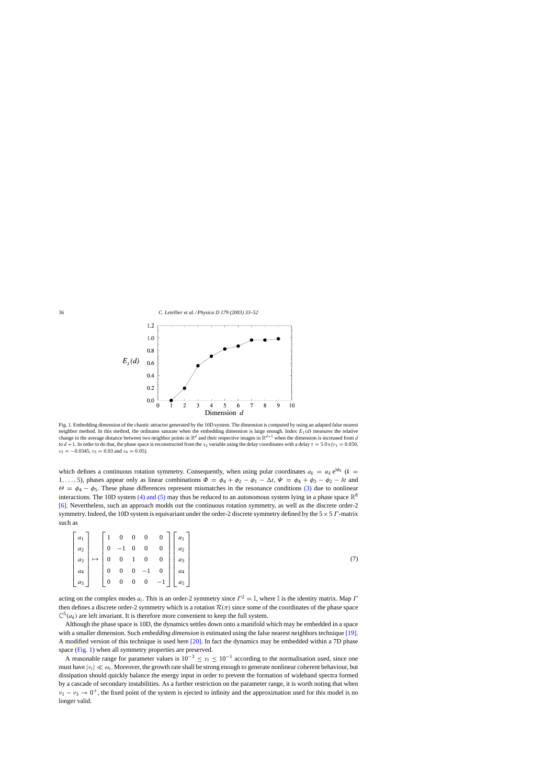<span id="page-3-0"></span>

Fig. 1. Embedding dimension of the chaotic attractor generated by the 10D system. The dimension is computed by using an adapted false nearest neighbor method. In this method, the ordinates saturate when the embedding dimension is large enough. Index  $E_1(d)$  measures the relative change in the average distance between two neighbor points in  $\mathbb{R}^d$  and their respective images in  $\mathbb{R}^{d+1}$  when the dimension is increased from d to  $d + 1$ . In order to do that, the phase space is reconstructed from the x<sub>2</sub> variable using the delay coordinates with a delay  $\tau = 5.0$  s ( $v_1 = 0.050$ ,  $v_2 = -0.0345$ ,  $v_3 = 0.03$  and  $v_4 = 0.05$ ).

which defines a continuous rotation symmetry. Consequently, when using polar coordinates  $a_k = u_k e^{i\phi_k}$  (k = 1,..., 5), phases appear only as linear combinations  $\Phi = \phi_4 + \phi_2 - \phi_1 - \Delta t$ ,  $\Psi = \phi_4 + \phi_3 - \phi_2 - \delta t$  and  $\Theta = \phi_4 - \phi_5$ . These phase differences represent mismatches in the resonance conditions [\(3\)](#page-2-0) due to nonlinear interactions. The 10D system [\(4\) and \(5\)](#page-2-0) may thus be reduced to an autonomous system lying in a phase space  $\mathbb{R}^8$ [\[6\].](#page-18-0) Nevertheless, such an approach modds out the continuous rotation symmetry, as well as the discrete order-2 symmetry. Indeed, the 10D system is equivariant under the order-2 discrete symmetry defined by the  $5 \times 5$  Γ-matrix such as

|  |  |  |  | $\begin{bmatrix} a_1 \\ a_2 \\ a_3 \\ a_4 \\ a_5 \end{bmatrix} \mapsto \begin{bmatrix} 1 & 0 & 0 & 0 & 0 \\ 0 & -1 & 0 & 0 & 0 \\ 0 & 0 & 1 & 0 & 0 \\ 0 & 0 & 0 & -1 & 0 \\ 0 & 0 & 0 & 0 & -1 \end{bmatrix} \begin{bmatrix} a_1 \\ a_2 \\ a_3 \\ a_4 \\ a_5 \end{bmatrix}$ |
|--|--|--|--|------------------------------------------------------------------------------------------------------------------------------------------------------------------------------------------------------------------------------------------------------------------------------|
|  |  |  |  |                                                                                                                                                                                                                                                                              |

(7)

acting on the complex modes  $a_i$ . This is an order-2 symmetry since  $\Gamma^2 = \mathbb{I}$ , where  $\mathbb{I}$  is the identity matrix. Map  $\Gamma$ then defines a discrete order-2 symmetry which is a rotation  $\mathcal{R}(\pi)$  since some of the coordinates of the phase space  $\mathbb{C}^{5}(a_k)$  are left invariant. It is therefore more convenient to keep the full system.

Although the phase space is 10D, the dynamics settles down onto a manifold which may be embedded in a space with a smaller dimension. Such *embedding dimension* is estimated using the false nearest neighbors technique [\[19\].](#page-19-0) A modified version of this technique is used here [\[20\].](#page-19-0) In fact the dynamics may be embedded within a 7D phase space (Fig. 1) when all symmetry properties are preserved.

A reasonable range for parameter values is  $10^{-3} \le v_i \le 10^{-1}$  according to the normalisation used, since one must have  $|v_i| \ll \omega_i$ . Moreover, the growth rate shall be strong enough to generate nonlinear coherent behaviour, but dissipation should quickly balance the energy input in order to prevent the formation of wideband spectra formed by a cascade of secondary instabilities. As a further restriction on the parameter range, it is worth noting that when  $v_1 - v_3 \rightarrow 0^+$ , the fixed point of the system is ejected to infinity and the approximation used for this model is no longer valid.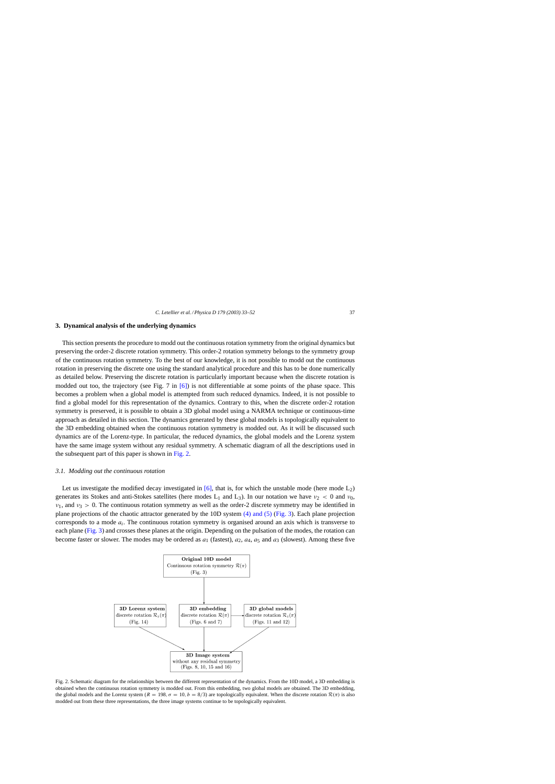## <span id="page-4-0"></span>**3. Dynamical analysis of the underlying dynamics**

This section presents the procedure to modd out the continuous rotation symmetry from the original dynamics but preserving the order-2 discrete rotation symmetry. This order-2 rotation symmetry belongs to the symmetry group of the continuous rotation symmetry. To the best of our knowledge, it is not possible to modd out the continuous rotation in preserving the discrete one using the standard analytical procedure and this has to be done numerically as detailed below. Preserving the discrete rotation is particularly important because when the discrete rotation is modded out too, the trajectory (see Fig. 7 in  $[6]$ ) is not differentiable at some points of the phase space. This becomes a problem when a global model is attempted from such reduced dynamics. Indeed, it is not possible to find a global model for this representation of the dynamics. Contrary to this, when the discrete order-2 rotation symmetry is preserved, it is possible to obtain a 3D global model using a NARMA technique or continuous-time approach as detailed in this section. The dynamics generated by these global models is topologically equivalent to the 3D embedding obtained when the continuous rotation symmetry is modded out. As it will be discussed such dynamics are of the Lorenz-type. In particular, the reduced dynamics, the global models and the Lorenz system have the same image system without any residual symmetry. A schematic diagram of all the descriptions used in the subsequent part of this paper is shown in Fig. 2.

#### *3.1. Modding out the continuous rotation*

Let us investigate the modified decay investigated in [\[6\],](#page-18-0) that is, for which the unstable mode (here mode  $L_2$ ) generates its Stokes and anti-Stokes satellites (here modes L<sub>1</sub> and L<sub>3</sub>). In our notation we have  $v_2 < 0$  and  $v_0$ ,  $v_1$ , and  $v_3 > 0$ . The continuous rotation symmetry as well as the order-2 discrete symmetry may be identified in plane projections of the chaotic attractor generated by the 10D system [\(4\) and \(5\)](#page-2-0) ([Fig. 3\).](#page-5-0) Each plane projection corresponds to a mode  $a_i$ . The continuous rotation symmetry is organised around an axis which is transverse to each plane ([Fig. 3\)](#page-5-0) and crosses these planes at the origin. Depending on the pulsation of the modes, the rotation can become faster or slower. The modes may be ordered as  $a_1$  (fastest),  $a_2$ ,  $a_4$ ,  $a_5$  and  $a_3$  (slowest). Among these five



Fig. 2. Schematic diagram for the relationships between the different representation of the dynamics. From the 10D model, a 3D embedding is obtained when the continuous rotation symmetry is modded out. From this embedding, two global models are obtained. The 3D embedding, the global models and the Lorenz system ( $R = 198$ ,  $\sigma = 10$ ,  $b = 8/3$ ) are topologically equivalent. When the discrete rotation  $\mathcal{R}(\pi)$  is also modded out from these three representations, the three image systems continue to be topologically equivalent.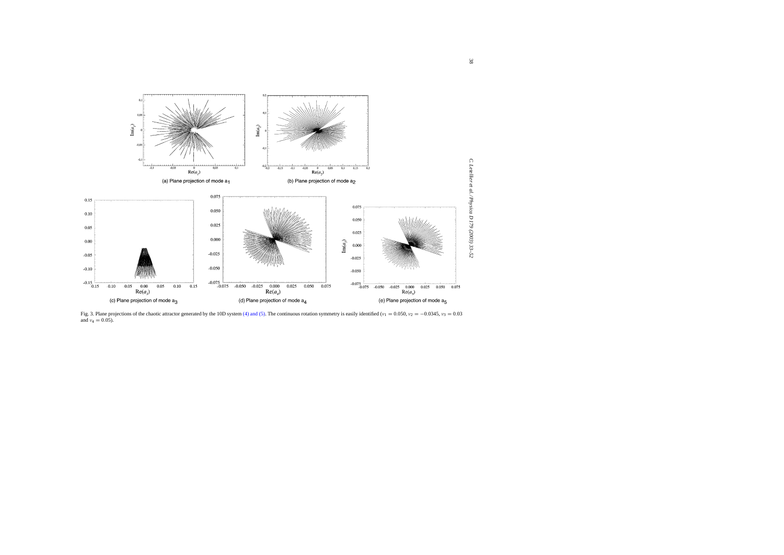<span id="page-5-0"></span>

Fig. 3. Plane projections of the chaotic attractor generated by the 10D system (4) [and](#page-2-0) (5). The continuous rotation symmetry is easily identified ( $v_1 = 0.050$ ,  $v_2 = -0.0345$ ,  $v_3 = 0.03$ and  $v_4 = 0.05$ ).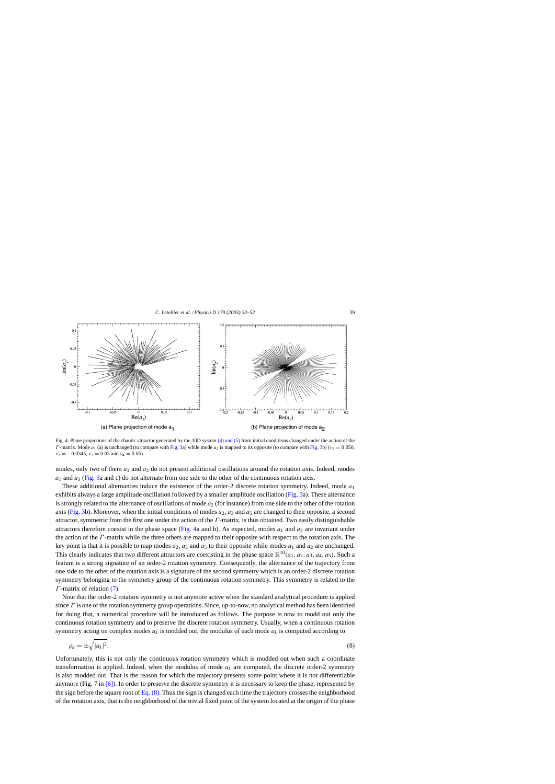<span id="page-6-0"></span>

Fig. 4. Plane projections of the chaotic attractor generated by the 10D system [\(4\) and \(5\)](#page-2-0) from initial conditions changed under the action of the Γ-matrix. Mode  $a_1$  (a) is unchanged (to compare with [Fig. 3a\)](#page-5-0) while mode  $a_2$  is mapped to its opposite (to compare with [Fig. 3b\)](#page-5-0) ( $v_1 = 0.050$ ,  $v_2 = -0.0345$ ,  $v_3 = 0.03$  and  $v_4 = 0.05$ ).

modes, only two of them  $a_1$  and  $a_3$  do not present additional oscillations around the rotation axis. Indeed, modes  $a_1$  and  $a_3$  [\(Fig. 3a](#page-5-0) and c) do not alternate from one side to the other of the continuous rotation axis.

These additional alternances induce the existence of the order-2 discrete rotation symmetry. Indeed, mode  $a_1$ exhibits always a large amplitude oscillation followed by a smaller amplitude oscillation ([Fig. 3a\)](#page-5-0). These alternance is strongly related to the alternance of oscillations of mode  $a_2$  (for instance) from one side to the other of the rotation axis ([Fig. 3b\)](#page-5-0). Moreover, when the initial conditions of modes  $a_2$ ,  $a_3$  and  $a_5$  are changed to their opposite, a second attractor, symmetric from the first one under the action of the  $\Gamma$ -matrix, is thus obtained. Two easily distinguishable attractors therefore coexist in the phase space (Fig. 4a and b). As expected, modes  $a_1$  and  $a_3$  are invariant under the action of the Γ -matrix while the three others are mapped to their opposite with respect to the rotation axis. The key point is that it is possible to map modes  $a_2$ ,  $a_3$  and  $a_5$  to their opposite while modes  $a_1$  and  $a_2$  are unchanged. This clearly indicates that two different attractors are coexisting in the phase space  $\mathbb{R}^{10}(a_1, a_2, a_3, a_4, a_5)$ . Such a feature is a strong signature of an order-2 rotation symmetry. Consequently, the alternance of the trajectory from one side to the other of the rotation axis is a signature of the second symmetry which is an order-2 discrete rotation symmetry belonging to the symmetry group of the continuous rotation symmetry. This symmetry is related to the  $\Gamma$ -matrix of relation [\(7\).](#page-3-0)

Note that the order-2 rotation symmetry is not anymore active when the standard analytical procedure is applied since  $\Gamma$  is one of the rotation symmetry group operations. Since, up-to-now, no analytical method has been identified for doing that, a numerical procedure will be introduced as follows. The purpose is now to modd out only the continuous rotation symmetry and to preserve the discrete rotation symmetry. Usually, when a continuous rotation symmetry acting on complex modes  $a_k$  is modded out, the modulus of each mode  $a_k$  is computed according to

$$
\rho_k = \pm \sqrt{|a_k|^2}.\tag{8}
$$

Unfortunately, this is not only the continuous rotation symmetry which is modded out when such a coordinate transformation is applied. Indeed, when the modulus of mode  $a_k$  are computed, the discrete order-2 symmetry is also modded out. That is the reason for which the trajectory presents some point where it is not differentiable anymore (Fig. 7 in [\[6\]\).](#page-18-0) In order to preserve the discrete symmetry it is necessary to keep the phase, represented by the sign before the square root of Eq. (8). Thus the sign is changed each time the trajectory crosses the neighborhood of the rotation axis, that is the neighborhood of the trivial fixed point of the system located at the origin of the phase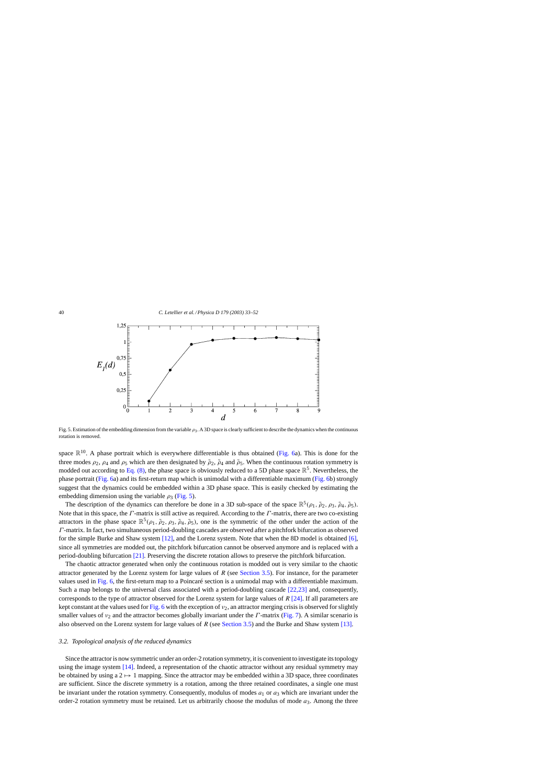

Fig. 5. Estimation of the embedding dimension from the variable  $\rho_3$ . A 3D space is clearly sufficient to describe the dynamics when the continuous rotation is removed.

space  $\mathbb{R}^{10}$ . A phase portrait which is everywhere differentiable is thus obtained [\(Fig. 6a](#page-8-0)). This is done for the three modes  $\rho_2$ ,  $\rho_4$  and  $\rho_5$  which are then designated by  $\rho_2$ ,  $\rho_4$  and  $\rho_5$ . When the continuous rotation symmetry is modded out according to [Eq. \(8\),](#page-6-0) the phase space is obviously reduced to a 5D phase space  $\mathbb{R}^5$ . Nevertheless, the phase portrait ([Fig. 6a\)](#page-8-0) and its first-return map which is unimodal with a differentiable maximum [\(Fig. 6b\)](#page-8-0) strongly suggest that the dynamics could be embedded within a 3D phase space. This is easily checked by estimating the embedding dimension using the variable  $\rho_3$  (Fig. 5).

The description of the dynamics can therefore be done in a 3D sub-space of the space  $\mathbb{R}^5(\rho_1, \tilde{\rho}_2, \rho_3, \tilde{\rho}_4, \tilde{\rho}_5)$ . Note that in this space, the  $\Gamma$ -matrix is still active as required. According to the  $\Gamma$ -matrix, there are two co-existing attractors in the phase space  $\mathbb{R}^5(\rho_1, \tilde{\rho}_2, \rho_3, \tilde{\rho}_4, \tilde{\rho}_5)$ , one is the symmetric of the other under the action of the Γ -matrix. In fact, two simultaneous period-doubling cascades are observed after a pitchfork bifurcation as observed for the simple Burke and Shaw system [\[12\],](#page-19-0) and the Lorenz system. Note that when the 8D model is obtained [\[6\],](#page-18-0) since all symmetries are modded out, the pitchfork bifurcation cannot be observed anymore and is replaced with a period-doubling bifurcation [\[21\]. P](#page-19-0)reserving the discrete rotation allows to preserve the pitchfork bifurcation.

The chaotic attractor generated when only the continuous rotation is modded out is very similar to the chaotic attractor generated by the Lorenz system for large values of  $R$  (see [Section 3.5\).](#page-15-0) For instance, for the parameter values used in [Fig. 6,](#page-8-0) the first-return map to a Poincaré section is a unimodal map with a differentiable maximum. Such a map belongs to the universal class associated with a period-doubling cascade [\[22,23\]](#page-19-0) and, consequently, corresponds to the type of attractor observed for the Lorenz system for large values of  $R$  [\[24\]. I](#page-19-0)f all parameters are kept constant at the values used for [Fig. 6](#page-8-0) with the exception of  $v_2$ , an attractor merging crisis is observed for slightly smaller values of  $v_2$  and the attractor becomes globally invariant under the Γ-matrix [\(Fig. 7\).](#page-8-0) A similar scenario is also observed on the Lorenz system for large values of R (see [Section 3.5\)](#page-15-0) and the Burke and Shaw system [\[13\].](#page-19-0)

#### *3.2. Topological analysis of the reduced dynamics*

Since the attractor is now symmetric under an order-2 rotation symmetry, it is convenient to investigate its topology using the image system [\[14\].](#page-19-0) Indeed, a representation of the chaotic attractor without any residual symmetry may be obtained by using a  $2 \mapsto 1$  mapping. Since the attractor may be embedded within a 3D space, three coordinates are sufficient. Since the discrete symmetry is a rotation, among the three retained coordinates, a single one must be invariant under the rotation symmetry. Consequently, modulus of modes  $a_1$  or  $a_3$  which are invariant under the order-2 rotation symmetry must be retained. Let us arbitrarily choose the modulus of mode  $a_3$ . Among the three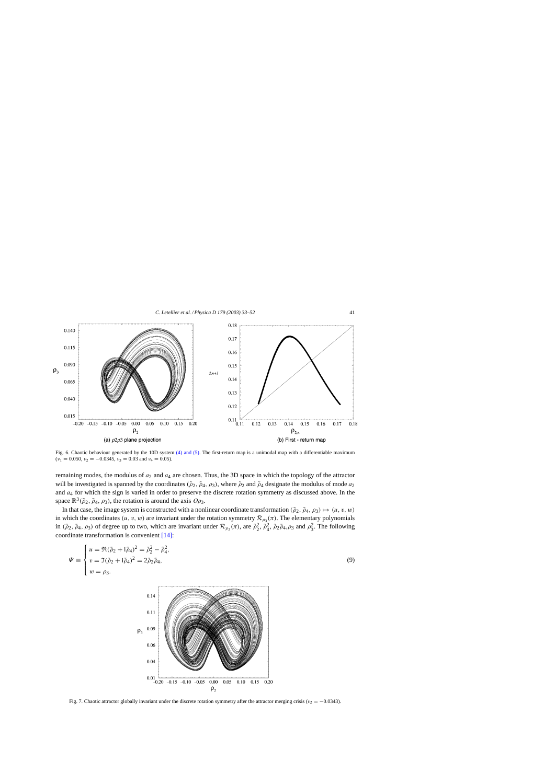<span id="page-8-0"></span>

Fig. 6. Chaotic behaviour generated by the 10D system [\(4\) and \(5\).](#page-2-0) The first-return map is a unimodal map with a differentiable maximum  $(v_1 = 0.050, v_2 = -0.0345, v_3 = 0.03$  and  $v_4 = 0.05$ ).

remaining modes, the modulus of  $a_2$  and  $a_4$  are chosen. Thus, the 3D space in which the topology of the attractor will be investigated is spanned by the coordinates ( $\tilde{\rho}_2$ ,  $\tilde{\rho}_4$ ,  $\rho_3$ ), where  $\tilde{\rho}_2$  and  $\tilde{\rho}_4$  designate the modulus of mode  $a_2$ and  $a_4$  for which the sign is varied in order to preserve the discrete rotation symmetry as discussed above. In the space  $\mathbb{R}^3(\tilde{\rho}_2, \tilde{\rho}_4, \rho_3)$ , the rotation is around the axis  $O\rho_3$ .

In that case, the image system is constructed with a nonlinear coordinate transformation  $(\tilde{\rho}_2, \tilde{\rho}_4, \rho_3) \mapsto (u, v, w)$ in which the coordinates  $(u, v, w)$  are invariant under the rotation symmetry  $\mathcal{R}_{\rho_3}(\pi)$ . The elementary polynomials in  $(\tilde{\rho}_2, \tilde{\rho}_4, \rho_3)$  of degree up to two, which are invariant under  $\mathcal{R}_{\rho_3}(\pi)$ , are  $\tilde{\rho}_2^2$ ,  $\tilde{\rho}_4^2$ ,  $\tilde{\rho}_2\tilde{\rho}_4$ ,  $\rho_3$  and  $\rho_3^2$ . The following coordinate transformation is convenient [\[14\]:](#page-19-0)

$$
\Psi \equiv \begin{cases}\n u = \Re(\tilde{\rho}_2 + i\tilde{\rho}_4)^2 = \tilde{\rho}_2^2 - \tilde{\rho}_4^2, \\
 v = \Im(\tilde{\rho}_2 + i\tilde{\rho}_4)^2 = 2\tilde{\rho}_2\tilde{\rho}_4, \\
 w = \rho_3.\n\end{cases}
$$
\n(9)



Fig. 7. Chaotic attractor globally invariant under the discrete rotation symmetry after the attractor merging crisis ( $v_2 = -0.0343$ ).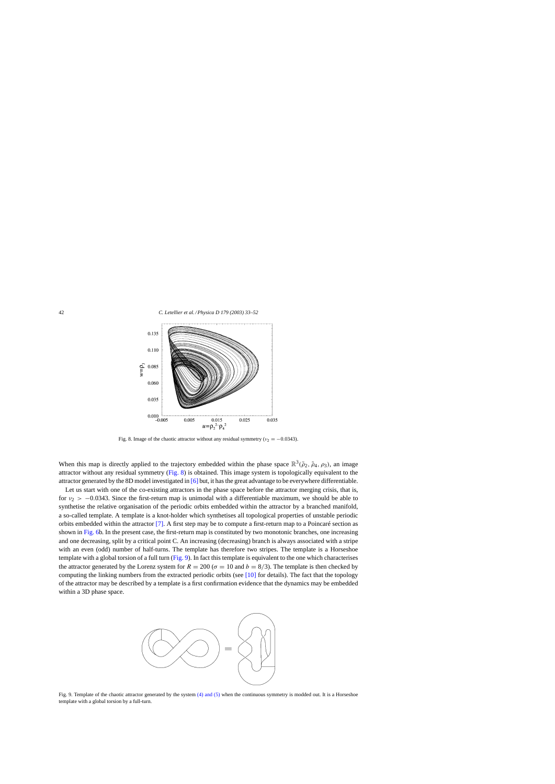<span id="page-9-0"></span>

Fig. 8. Image of the chaotic attractor without any residual symmetry ( $v_2 = -0.0343$ ).

When this map is directly applied to the trajectory embedded within the phase space  $\mathbb{R}^3(\tilde{\rho}_2, \tilde{\rho}_4, \rho_3)$ , an image attractor without any residual symmetry (Fig. 8) is obtained. This image system is topologically equivalent to the attractor generated by the 8D model investigated in  $[6]$  but, it has the great advantage to be everywhere differentiable.

Let us start with one of the co-existing attractors in the phase space before the attractor merging crisis, that is, for  $v_2 > -0.0343$ . Since the first-return map is unimodal with a differentiable maximum, we should be able to synthetise the relative organisation of the periodic orbits embedded within the attractor by a branched manifold, a so-called template. A template is a knot-holder which synthetises all topological properties of unstable periodic orbits embedded within the attractor [\[7\].](#page-18-0) A first step may be to compute a first-return map to a Poincaré section as shown in [Fig. 6b.](#page-8-0) In the present case, the first-return map is constituted by two monotonic branches, one increasing and one decreasing, split by a critical point C. An increasing (decreasing) branch is always associated with a stripe with an even (odd) number of half-turns. The template has therefore two stripes. The template is a Horseshoe template with a global torsion of a full turn (Fig. 9). In fact this template is equivalent to the one which characterises the attractor generated by the Lorenz system for  $R = 200$  ( $\sigma = 10$  and  $b = 8/3$ ). The template is then checked by computing the linking numbers from the extracted periodic orbits (see  $[10]$  for details). The fact that the topology of the attractor may be described by a template is a first confirmation evidence that the dynamics may be embedded within a 3D phase space.



Fig. 9. Template of the chaotic attractor generated by the system [\(4\) and \(5\)](#page-2-0) when the continuous symmetry is modded out. It is a Horseshoe template with a global torsion by a full-turn.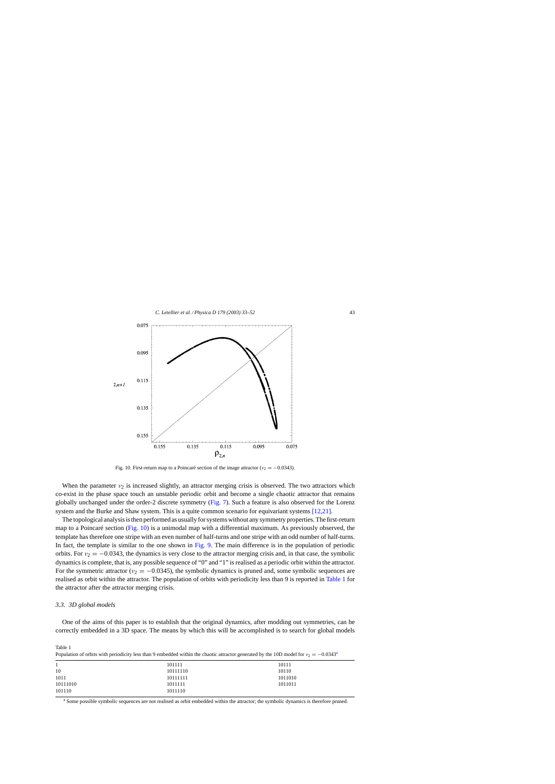<span id="page-10-0"></span>

Fig. 10. First-return map to a Poincaré section of the image attractor ( $v_2 = -0.0343$ ).

When the parameter  $v_2$  is increased slightly, an attractor merging crisis is observed. The two attractors which co-exist in the phase space touch an unstable periodic orbit and become a single chaotic attractor that remains globally unchanged under the order-2 discrete symmetry ([Fig. 7\).](#page-8-0) Such a feature is also observed for the Lorenz system and the Burke and Shaw system. This is a quite common scenario for equivariant systems [\[12,21\].](#page-19-0)

The topological analysis is then performed as usually for systems without any symmetry properties. The first-return map to a Poincaré section (Fig. 10) is a unimodal map with a differential maximum. As previously observed, the template has therefore one stripe with an even number of half-turns and one stripe with an odd number of half-turns. In fact, the template is similar to the one shown in [Fig. 9.](#page-9-0) The main difference is in the population of periodic orbits. For  $v_2 = -0.0343$ , the dynamics is very close to the attractor merging crisis and, in that case, the symbolic dynamics is complete, that is, any possible sequence of "0" and "1" is realised as a periodic orbit within the attractor. For the symmetric attractor ( $v_2 = -0.0345$ ), the symbolic dynamics is pruned and, some symbolic sequences are realised as orbit within the attractor. The population of orbits with periodicity less than 9 is reported in Table 1 for the attractor after the attractor merging crisis.

## *3.3. 3D global models*

One of the aims of this paper is to establish that the original dynamics, after modding out symmetries, can be correctly embedded in a 3D space. The means by which this will be accomplished is to search for global models

Table 1

|  |  | Population of orbits with periodicity less than 9 embedded within the chaotic attractor generated by the 10D model for $v_2 = -0.0343^a$ |
|--|--|------------------------------------------------------------------------------------------------------------------------------------------|
|  |  |                                                                                                                                          |

|          | 101111   | 10111   |
|----------|----------|---------|
| 10       | 10111110 | 10110   |
| 1011     | 10111111 | 1011010 |
| 10111010 | 1011111  | 1011011 |
| 101110   | 1011110  |         |

<sup>a</sup> Some possible symbolic sequences are not realised as orbit embedded within the attractor; the symbolic dynamics is therefore pruned.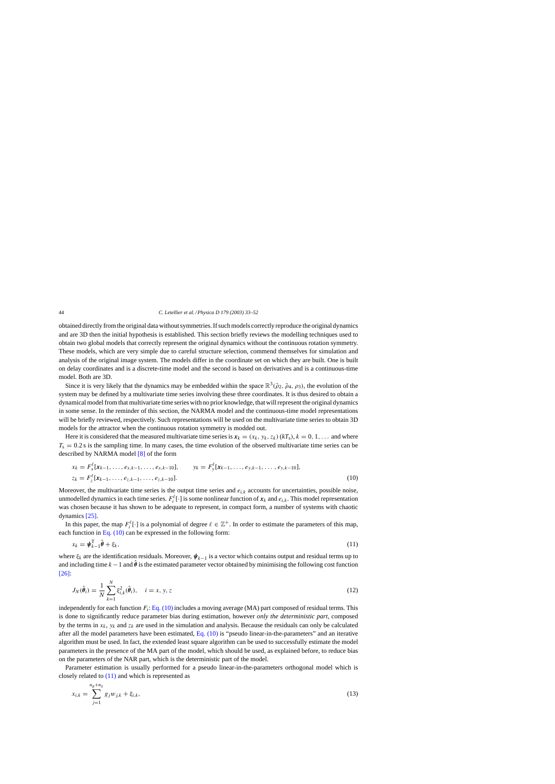<span id="page-11-0"></span>obtained directly from the original data without symmetries. If such models correctly reproduce the original dynamics and are 3D then the initial hypothesis is established. This section briefly reviews the modelling techniques used to obtain two global models that correctly represent the original dynamics without the continuous rotation symmetry. These models, which are very simple due to careful structure selection, commend themselves for simulation and analysis of the original image system. The models differ in the coordinate set on which they are built. One is built on delay coordinates and is a discrete-time model and the second is based on derivatives and is a continuous-time model. Both are 3D.

Since it is very likely that the dynamics may be embedded within the space  $\mathbb{R}^3(\tilde{\rho}_2, \tilde{\rho}_4, \rho_3)$ , the evolution of the system may be defined by a multivariate time series involving these three coordinates. It is thus desired to obtain a dynamical model from that multivariate time series with no prior knowledge, that will represent the original dynamics in some sense. In the reminder of this section, the NARMA model and the continuous-time model representations will be briefly reviewed, respectively. Such representations will be used on the multivariate time series to obtain 3D models for the attractor when the continuous rotation symmetry is modded out.

Here it is considered that the measured multivariate time series is  $x_k = (x_k, y_k, z_k)$   $(kT_s), k = 0, 1, \ldots$  and where  $T_s = 0.2$  s is the sampling time. In many cases, the time evolution of the observed multivariate time series can be described by NARMA model [\[8\]](#page-18-0) of the form

$$
x_k = F_x^{\ell}[\mathbf{x}_{k-1}, \dots, e_{x,k-1}, \dots, e_{x,k-10}], \qquad y_k = F_y^{\ell}[\mathbf{x}_{k-1}, \dots, e_{y,k-1}, \dots, e_{y,k-10}],
$$
  
\n
$$
z_k = F_z^{\ell}[\mathbf{x}_{k-1}, \dots, e_{z,k-1}, \dots, e_{z,k-10}].
$$
\n(10)

Moreover, the multivariate time series is the output time series and  $e_{i,k}$  accounts for uncertainties, possible noise, unmodelled dynamics in each time series.  $F_i^{\ell}[\cdot]$  is some nonlinear function of  $x_k$  and  $e_{i,k}$ . This model representation was chosen because it has shown to be adequate to represent, in compact form, a number of systems with chaotic dynamics [\[25\].](#page-19-0)

In this paper, the map  $F_i^{\ell}[\cdot]$  is a polynomial of degree  $\ell \in \mathbb{Z}^+$ . In order to estimate the parameters of this map, each function in Eq. (10) can be expressed in the following form:

$$
x_k = \boldsymbol{\psi}_{k-1}^{\mathrm{T}} \hat{\boldsymbol{\theta}} + \xi_k, \tag{11}
$$

where  $\xi_k$  are the identification residuals. Moreover,  $\psi_{k-1}$  is a vector which contains output and residual terms up to and including time  $k-1$  and  $\hat{\pmb{\theta}}$  is the estimated parameter vector obtained by minimising the following cost function [\[26\]:](#page-19-0)

$$
J_N(\hat{\theta}_i) = \frac{1}{N} \sum_{k=1}^N \xi_{i,k}^2(\hat{\theta}_i), \quad i = x, y, z
$$
 (12)

independently for each function  $F_i$ : Eq. (10) includes a moving average (MA) part composed of residual terms. This is done to significantly reduce parameter bias during estimation, however *only the deterministic part*, composed by the terms in  $x_k$ ,  $y_k$  and  $z_k$  are used in the simulation and analysis. Because the residuals can only be calculated after all the model parameters have been estimated, Eq. (10) is "pseudo linear-in-the-parameters" and an iterative algorithm must be used. In fact, the extended least square algorithm can be used to successfully estimate the model parameters in the presence of the MA part of the model, which should be used, as explained before, to reduce bias on the parameters of the NAR part, which is the deterministic part of the model.

Parameter estimation is usually performed for a pseudo linear-in-the-parameters orthogonal model which is closely related to  $(11)$  and which is represented as

$$
x_{i,k} = \sum_{j=1}^{n_{\text{p}} + n_{\text{g}}} g_j w_{j,k} + \xi_{i,k},\tag{13}
$$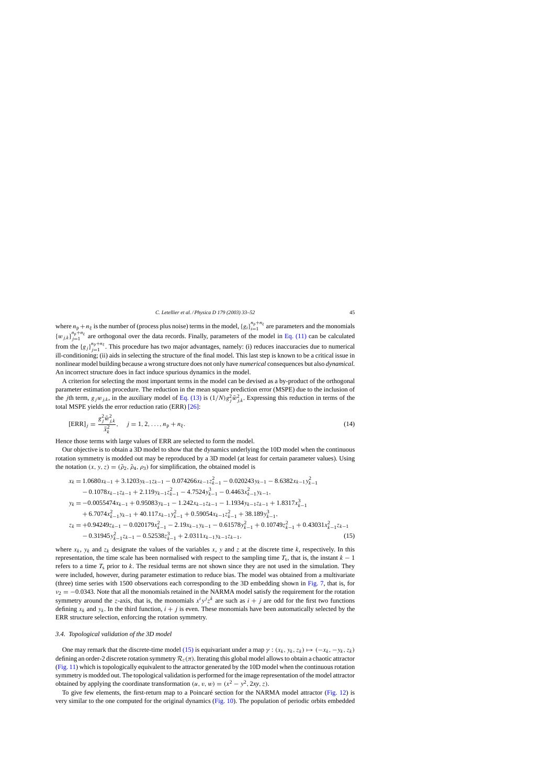<span id="page-12-0"></span>where  $n_p + n_\xi$  is the number of (process plus noise) terms in the model,  $\{g_i\}_{i=1}^{n_p+n_\xi}$  are parameters and the monomials  ${w_{j,k}}_{j=1}^{n_p+n_\xi}$  are orthogonal over the data records. Finally, parameters of the model in [Eq. \(11\)](#page-11-0) can be calculated from the  ${g_j}_{j=1}^{n_p+n_\xi}$ . This procedure has two major advantages, namely: (i) reduces inaccuracies due to numerical ill-conditioning; (ii) aids in selecting the structure of the final model. This last step is known to be a critical issue in nonlinear model building because a wrong structure does not only have *numerical* consequences but also *dynamical*. An incorrect structure does in fact induce spurious dynamics in the model.

A criterion for selecting the most important terms in the model can be devised as a by-product of the orthogonal parameter estimation procedure. The reduction in the mean square prediction error (MSPE) due to the inclusion of the *j*th term,  $g_j w_{j,k}$ , in the auxiliary model of [Eq. \(13\)](#page-11-0) is  $(1/N)g_j^2 \bar{w}_{j,k}^2$ . Expressing this reduction in terms of the total MSPE yields the error reduction ratio (ERR) [\[26\]:](#page-19-0)

$$
[ERR]_j = \frac{g_j^2 \bar{w}_{j,k}^2}{\bar{x}_k^2}, \quad j = 1, 2, \dots, n_p + n_\xi.
$$
\n(14)

Hence those terms with large values of ERR are selected to form the model.

Our objective is to obtain a 3D model to show that the dynamics underlying the 10D model when the continuous rotation symmetry is modded out may be reproduced by a 3D model (at least for certain parameter values). Using the notation  $(x, y, z) = (\tilde{\rho}_2, \tilde{\rho}_4, \rho_3)$  for simplification, the obtained model is

$$
x_{k} = 1.0680x_{k-1} + 3.1203y_{k-1}z_{k-1} - 0.074266x_{k-1}z_{k-1}^{2} - 0.020243y_{k-1} - 8.6382x_{k-1}y_{k-1}^{2}
$$
  
\n
$$
- 0.1078x_{k-1}z_{k-1} + 2.119y_{k-1}z_{k-1}^{2} - 4.7524y_{k-1}^{3} - 0.4463x_{k-1}^{2}y_{k-1},
$$
  
\n
$$
y_{k} = -0.0055474x_{k-1} + 0.95083y_{k-1} - 1.242x_{k-1}z_{k-1} - 1.1934y_{k-1}z_{k-1} + 1.8317x_{k-1}^{3}
$$
  
\n
$$
+ 6.7074x_{k-1}^{2}y_{k-1} + 40.117x_{k-1}y_{k-1}^{2} + 0.59054x_{k-1}z_{k-1}^{2} + 38.189y_{k-1}^{3},
$$
  
\n
$$
z_{k} = +0.94249z_{k-1} - 0.020179x_{k-1}^{2} - 2.19x_{k-1}y_{k-1} - 0.61578y_{k-1}^{2} + 0.10749z_{k-1}^{2} + 0.43031x_{k-1}^{2}z_{k-1}
$$
  
\n
$$
-0.31945y_{k-1}^{2}z_{k-1} - 0.52538z_{k-1}^{3} + 2.0311x_{k-1}y_{k-1}z_{k-1},
$$
  
\n(15)

where  $x_k$ ,  $y_k$  and  $z_k$  designate the values of the variables x, y and z at the discrete time k, respectively. In this representation, the time scale has been normalised with respect to the sampling time  $T_s$ , that is, the instant  $k - 1$ refers to a time  $T_s$  prior to k. The residual terms are not shown since they are not used in the simulation. They were included, however, during parameter estimation to reduce bias. The model was obtained from a multivariate (three) time series with 1500 observations each corresponding to the 3D embedding shown in [Fig. 7,](#page-8-0) that is, for  $v_2 = -0.0343$ . Note that all the monomials retained in the NARMA model satisfy the requirement for the rotation symmetry around the z-axis, that is, the monomials  $x^i y^j z^k$  are such as  $i + j$  are odd for the first two functions defining  $x_k$  and  $y_k$ . In the third function,  $i + j$  is even. These monomials have been automatically selected by the ERR structure selection, enforcing the rotation symmetry.

## *3.4. Topological validation of the 3D model*

One may remark that the discrete-time model (15) is equivariant under a map  $\gamma$  :  $(x_k, y_k, z_k) \mapsto (-x_k, -y_k, z_k)$ defining an order-2 discrete rotation symmetry  $\mathcal{R}_z(\pi)$ . Iterating this global model allows to obtain a chaotic attractor ([Fig. 11\) w](#page-13-0)hich is topologically equivalent to the attractor generated by the 10D model when the continuous rotation symmetry is modded out. The topological validation is performed for the image representation of the model attractor obtained by applying the coordinate transformation  $(u, v, w) = (x^2 - y^2, 2xy, z)$ .

To give few elements, the first-return map to a Poincaré section for the NARMA model attractor [\(Fig. 12\)](#page-13-0) is very similar to the one computed for the original dynamics ([Fig. 10\).](#page-10-0) The population of periodic orbits embedded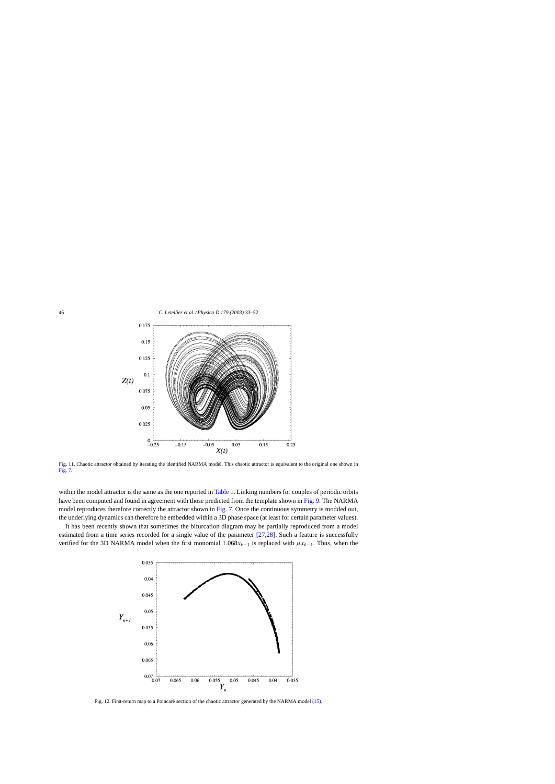<span id="page-13-0"></span>

Fig. 11. Chaotic attractor obtained by iterating the identified NARMA model. This chaotic attractor is equivalent to the original one shown in [Fig. 7.](#page-8-0)

within the model attractor is the same as the one reported in [Table 1. L](#page-10-0)inking numbers for couples of periodic orbits have been computed and found in agreement with those predicted from the template shown in [Fig. 9. T](#page-9-0)he NARMA model reproduces therefore correctly the attractor shown in [Fig. 7.](#page-8-0) Once the continuous symmetry is modded out, the underlying dynamics can therefore be embedded within a 3D phase space (at least for certain parameter values).

It has been recently shown that sometimes the bifurcation diagram may be partially reproduced from a model estimated from a time series recorded for a single value of the parameter [\[27,28\].](#page-19-0) Such a feature is successfully verified for the 3D NARMA model when the first monomial  $1.068x_{k-1}$  is replaced with  $\mu x_{k-1}$ . Thus, when the



Fig. 12. First-return map to a Poincaré section of the chaotic attractor generated by the NARMA model [\(15\).](#page-12-0)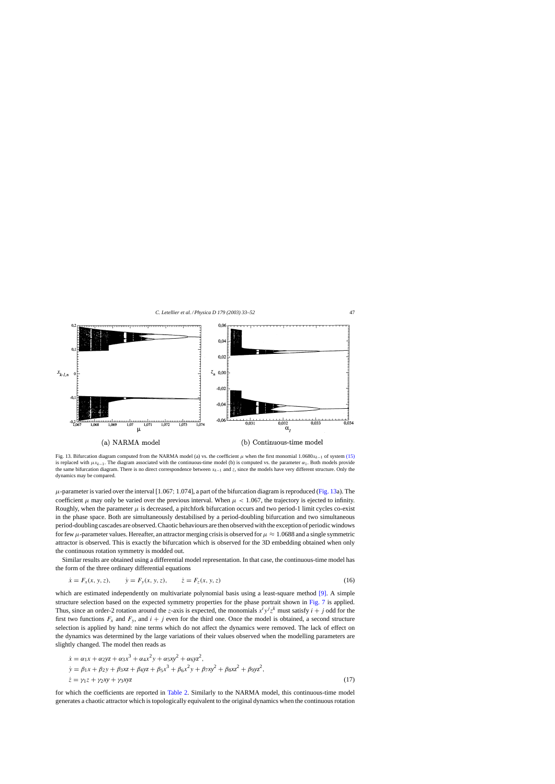<span id="page-14-0"></span>

Fig. 13. Bifurcation diagram computed from the NARMA model (a) vs. the coefficient  $\mu$  when the first monomial 1.0680 $x_{k-1}$  of system [\(15\)](#page-12-0) is replaced with  $\mu x_{k-1}$ . The diagram associated with the continuous-time model (b) is computed vs. the parameter  $\alpha_1$ . Both models provide the same bifurcation diagram. There is no direct correspondence between  $x_{k-1}$  and z, since the models have very different structure. Only the dynamics may be compared.

 $\mu$ -parameter is varied over the interval [1.067; 1.074], a part of the bifurcation diagram is reproduced (Fig. 13a). The coefficient  $\mu$  may only be varied over the previous interval. When  $\mu$  < 1.067, the trajectory is ejected to infinity. Roughly, when the parameter  $\mu$  is decreased, a pitchfork bifurcation occurs and two period-1 limit cycles co-exist in the phase space. Both are simultaneously destabilised by a period-doubling bifurcation and two simultaneous period-doubling cascades are observed. Chaotic behaviours are then observed with the exception of periodic windows for few  $\mu$ -parameter values. Hereafter, an attractor merging crisis is observed for  $\mu \approx 1.0688$  and a single symmetric attractor is observed. This is exactly the bifurcation which is observed for the 3D embedding obtained when only the continuous rotation symmetry is modded out.

Similar results are obtained using a differential model representation. In that case, the continuous-time model has the form of the three ordinary differential equations

$$
\dot{x} = F_x(x, y, z), \qquad \dot{y} = F_y(x, y, z), \qquad \dot{z} = F_z(x, y, z) \tag{16}
$$

which are estimated independently on multivariate polynomial basis using a least-square method [\[9\].](#page-18-0) A simple structure selection based on the expected symmetry properties for the phase portrait shown in [Fig. 7](#page-8-0) is applied. Thus, since an order-2 rotation around the *z*-axis is expected, the monomials  $x^i y^j z^k$  must satisfy  $i + j$  odd for the first two functions  $F_x$  and  $F_y$ , and  $i + j$  even for the third one. Once the model is obtained, a second structure selection is applied by hand: nine terms which do not affect the dynamics were removed. The lack of effect on the dynamics was determined by the large variations of their values observed when the modelling parameters are slightly changed. The model then reads as

$$
\begin{aligned}\n\dot{x} &= \alpha_1 x + \alpha_2 yz + \alpha_3 x^3 + \alpha_4 x^2 y + \alpha_5 x y^2 + \alpha_6 y z^2, \\
\dot{y} &= \beta_1 x + \beta_2 y + \beta_3 xz + \beta_4 yz + \beta_5 x^3 + \beta_6 x^2 y + \beta_7 x y^2 + \beta_8 x z^2 + \beta_9 y z^2, \\
\dot{z} &= \gamma_1 z + \gamma_2 x y + \gamma_3 x y z\n\end{aligned} \tag{17}
$$

for which the coefficients are reported in [Table 2.](#page-15-0) Similarly to the NARMA model, this continuous-time model generates a chaotic attractor which is topologically equivalent to the original dynamics when the continuous rotation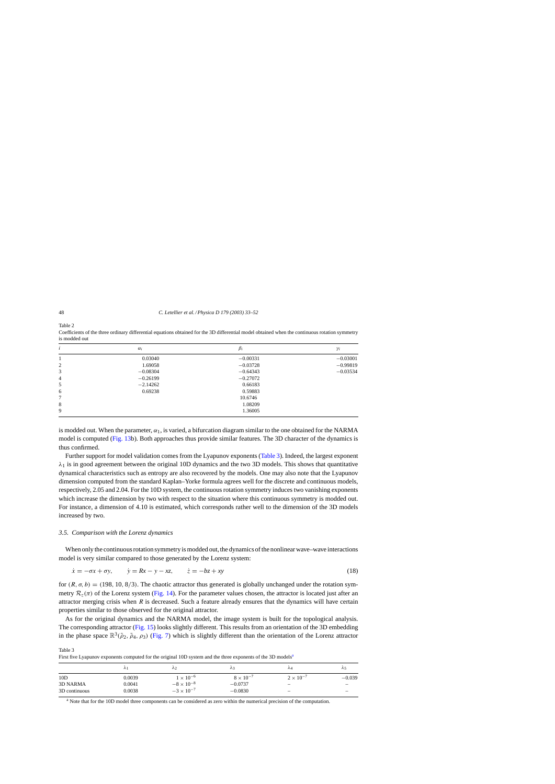|                | $\alpha_i$ | $\beta_i$  | $\gamma_i$ |
|----------------|------------|------------|------------|
|                | 0.03040    | $-0.00331$ | $-0.03001$ |
| 2              | 1.69058    | $-0.03728$ | $-0.99819$ |
| 3              | $-0.08304$ | $-0.64343$ | $-0.03534$ |
| $\overline{4}$ | $-0.26199$ | $-0.27072$ |            |
| 5              | $-2.14262$ | 0.66183    |            |
| 6              | 0.69238    | 0.59883    |            |
| 7              |            | 10.6746    |            |
| 8              |            | 1.08209    |            |
| 9              |            | 1.36005    |            |

Coefficients of the three ordinary differential equations obtained for the 3D differential model obtained when the continuous rotation symmetry is modded out

is modded out. When the parameter,  $\alpha_1$ , is varied, a bifurcation diagram similar to the one obtained for the NARMA model is computed ([Fig. 13b\)](#page-14-0). Both approaches thus provide similar features. The 3D character of the dynamics is thus confirmed.

Further support for model validation comes from the Lyapunov exponents (Table 3). Indeed, the largest exponent  $\lambda_1$  is in good agreement between the original 10D dynamics and the two 3D models. This shows that quantitative dynamical characteristics such as entropy are also recovered by the models. One may also note that the Lyapunov dimension computed from the standard Kaplan–Yorke formula agrees well for the discrete and continuous models, respectively, 2.05 and 2.04. For the 10D system, the continuous rotation symmetry induces two vanishing exponents which increase the dimension by two with respect to the situation where this continuous symmetry is modded out. For instance, a dimension of 4.10 is estimated, which corresponds rather well to the dimension of the 3D models increased by two.

#### *3.5. Comparison with the Lorenz dynamics*

When only the continuous rotation symmetry is modded out, the dynamics of the nonlinear wave–wave interactions model is very similar compared to those generated by the Lorenz system:

$$
\dot{x} = -\sigma x + \sigma y, \qquad \dot{y} = Rx - y - xz, \qquad \dot{z} = -bz + xy \tag{18}
$$

for  $(R, \sigma, b) = (198, 10, 8/3)$ . The chaotic attractor thus generated is globally unchanged under the rotation symmetry  $\mathcal{R}_z(\pi)$  of the Lorenz system ([Fig. 14\).](#page-16-0) For the parameter values chosen, the attractor is located just after an attractor merging crisis when  $R$  is decreased. Such a feature already ensures that the dynamics will have certain properties similar to those observed for the original attractor.

As for the original dynamics and the NARMA model, the image system is built for the topological analysis. The corresponding attractor ([Fig. 15\)](#page-16-0) looks slightly different. This results from an orientation of the 3D embedding in the phase space  $\mathbb{R}^3(\tilde{\rho}_2, \tilde{\rho}_4, \rho_3)$  ([Fig. 7\)](#page-8-0) which is slightly different than the orientation of the Lorenz attractor

| Table 3                                                                                                                  |  |  |  |
|--------------------------------------------------------------------------------------------------------------------------|--|--|--|
| First five Lyapunov exponents computed for the original 10D system and the three exponents of the 3D models <sup>a</sup> |  |  |  |

|                           | $\lambda$        | $\lambda_2$                                | $\lambda$ 3            | $\Lambda_4$        | ⋏⋖                              |
|---------------------------|------------------|--------------------------------------------|------------------------|--------------------|---------------------------------|
| 10D                       | 0.0039           | $1 \times 10^{-6}$                         | $8 \times 10^{-7}$     | $2 \times 10^{-7}$ | $-0.039$                        |
| 3D NARMA<br>3D continuous | 0.0041<br>0.0038 | $-8 \times 10^{-8}$<br>$-3 \times 10^{-7}$ | $-0.0737$<br>$-0.0830$ | $\qquad \qquad -$  | $\hspace{0.1mm}-\hspace{0.1mm}$ |

<sup>a</sup> Note that for the 10D model three components can be considered as zero within the numerical precision of the computation.

<span id="page-15-0"></span>Table 2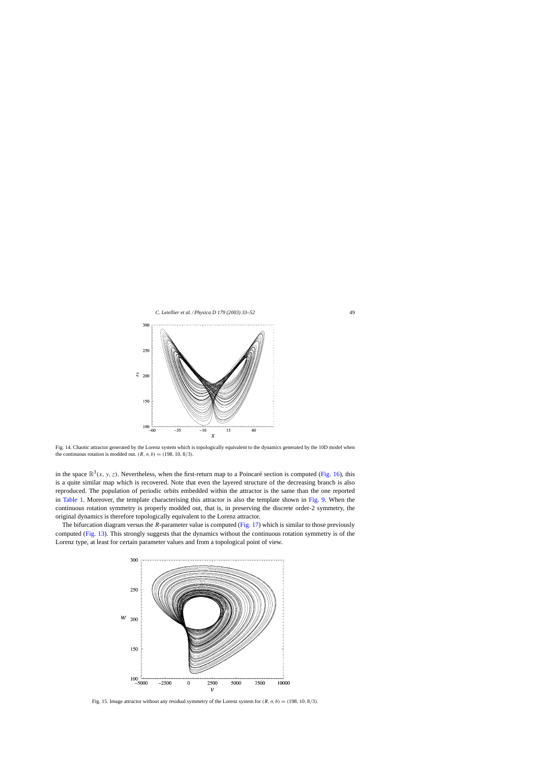<span id="page-16-0"></span>

Fig. 14. Chaotic attractor generated by the Lorenz system which is topologically equivalent to the dynamics generated by the 10D model when the continuous rotation is modded out.  $(R, \sigma, b) = (198, 10, 8/3)$ .

in the space  $\mathbb{R}^3(x, y, z)$ . Nevertheless, when the first-return map to a Poincaré section is computed ([Fig. 16\),](#page-17-0) this is a quite similar map which is recovered. Note that even the layered structure of the decreasing branch is also reproduced. The population of periodic orbits embedded within the attractor is the same than the one reported in [Table 1.](#page-10-0) Moreover, the template characterising this attractor is also the template shown in [Fig. 9.](#page-9-0) When the continuous rotation symmetry is properly modded out, that is, in preserving the discrete order-2 symmetry, the original dynamics is therefore topologically equivalent to the Lorenz attractor.

The bifurcation diagram versus the R-parameter value is computed ([Fig. 17\)](#page-17-0) which is similar to those previously computed ([Fig. 13\).](#page-14-0) This strongly suggests that the dynamics without the continuous rotation symmetry is of the Lorenz type, at least for certain parameter values and from a topological point of view.



Fig. 15. Image attractor without any residual symmetry of the Lorenz system for  $(R, \sigma, b) = (198, 10, 8/3)$ .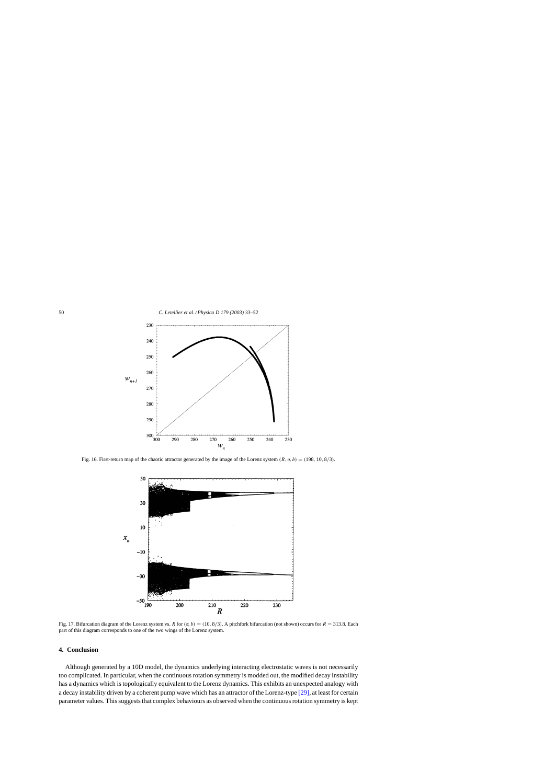<span id="page-17-0"></span>

Fig. 16. First-return map of the chaotic attractor generated by the image of the Lorenz system  $(R, \sigma, b) = (198, 10, 8/3)$ .



Fig. 17. Bifurcation diagram of the Lorenz system vs. R for  $(\sigma, b) = (10, 8/3)$ . A pitchfork bifurcation (not shown) occurs for  $R = 313.8$ . Each part of this diagram corresponds to one of the two wings of the Lorenz system.

# **4. Conclusion**

Although generated by a 10D model, the dynamics underlying interacting electrostatic waves is not necessarily too complicated. In particular, when the continuous rotation symmetry is modded out, the modified decay instability has a dynamics which is topologically equivalent to the Lorenz dynamics. This exhibits an unexpected analogy with a decay instability driven by a coherent pump wave which has an attractor of the Lorenz-type [\[29\], a](#page-19-0)t least for certain parameter values. This suggests that complex behaviours as observed when the continuous rotation symmetry is kept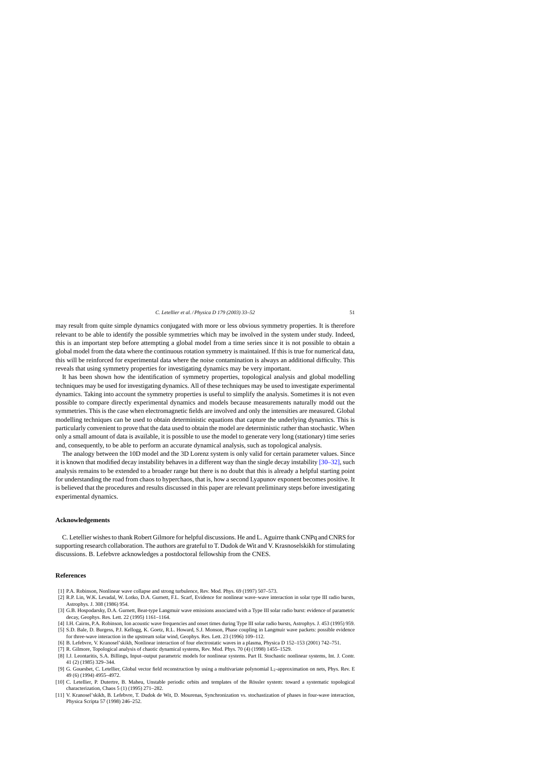<span id="page-18-0"></span>may result from quite simple dynamics conjugated with more or less obvious symmetry properties. It is therefore relevant to be able to identify the possible symmetries which may be involved in the system under study. Indeed, this is an important step before attempting a global model from a time series since it is not possible to obtain a global model from the data where the continuous rotation symmetry is maintained. If this is true for numerical data, this will be reinforced for experimental data where the noise contamination is always an additional difficulty. This reveals that using symmetry properties for investigating dynamics may be very important.

It has been shown how the identification of symmetry properties, topological analysis and global modelling techniques may be used for investigating dynamics. All of these techniques may be used to investigate experimental dynamics. Taking into account the symmetry properties is useful to simplify the analysis. Sometimes it is not even possible to compare directly experimental dynamics and models because measurements naturally modd out the symmetries. This is the case when electromagnetic fields are involved and only the intensities are measured. Global modelling techniques can be used to obtain deterministic equations that capture the underlying dynamics. This is particularly convenient to prove that the data used to obtain the model are deterministic rather than stochastic. When only a small amount of data is available, it is possible to use the model to generate very long (stationary) time series and, consequently, to be able to perform an accurate dynamical analysis, such as topological analysis.

The analogy between the 10D model and the 3D Lorenz system is only valid for certain parameter values. Since it is known that modified decay instability behaves in a different way than the single decay instability [\[30–32\], s](#page-19-0)uch analysis remains to be extended to a broader range but there is no doubt that this is already a helpful starting point for understanding the road from chaos to hyperchaos, that is, how a second Lyapunov exponent becomes positive. It is believed that the procedures and results discussed in this paper are relevant preliminary steps before investigating experimental dynamics.

#### **Acknowledgements**

C. Letellier wishes to thank Robert Gilmore for helpful discussions. He and L. Aguirre thank CNPq and CNRS for supporting research collaboration. The authors are grateful to T. Dudok de Wit and V. Krasnoselskikh for stimulating discussions. B. Lefebvre acknowledges a postdoctoral fellowship from the CNES.

## **References**

- [1] P.A. Robinson, Nonlinear wave collapse and strong turbulence, Rev. Mod. Phys. 69 (1997) 507–573.
- [2] R.P. Lin, W.K. Levadal, W. Lotko, D.A. Gurnett, F.L. Scarf, Evidence for nonlinear wave–wave interaction in solar type III radio bursts, Astrophys. J. 308 (1986) 954.
- [3] G.B. Hospodarsky, D.A. Gurnett, Beat-type Langmuir wave emissions associated with a Type III solar radio burst: evidence of parametric decay, Geophys. Res. Lett. 22 (1995) 1161–1164.
- [4] I.H. Cairns, P.A. Robinson, Ion acoustic wave frequencies and onset times during Type III solar radio bursts, Astrophys. J. 453 (1995) 959.
- [5] S.D. Bale, D. Burgess, P.J. Kellogg, K. Goetz, R.L. Howard, S.J. Monson, Phase coupling in Langmuir wave packets: possible evidence for three-wave interaction in the upstream solar wind, Geophys. Res. Lett. 23 (1996) 109–112.
- [6] B. Lefebvre, V. Kranosel'skikh, Nonlinear interaction of four electrostatic waves in a plasma, Physica D 152–153 (2001) 742–751.
- [7] R. Gilmore, Topological analysis of chaotic dynamical systems, Rev. Mod. Phys. 70 (4) (1998) 1455–1529.
- [8] I.J. Leontaritis, S.A. Billings, Input–output parametric models for nonlinear systems. Part II. Stochastic nonlinear systems, Int. J. Contr. 41 (2) (1985) 329–344.
- [9] G. Gouesbet, C. Letellier, Global vector field reconstruction by using a multivariate polynomial L<sub>2</sub>-approximation on nets, Phys. Rev. E 49 (6) (1994) 4955–4972.
- [10] C. Letellier, P. Dutertre, B. Maheu, Unstable periodic orbits and templates of the Rössler system: toward a systematic topological characterization, Chaos 5 (1) (1995) 271–282.
- [11] V. Kranosel'skikh, B. Lefebvre, T. Dudok de Wit, D. Mourenas, Synchronization vs. stochastization of phases in four-wave interaction, Physica Scripta 57 (1998) 246–252.